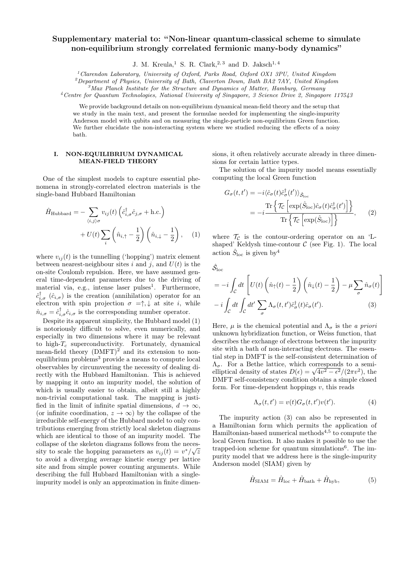# Supplementary material to: "Non-linear quantum-classical scheme to simulate non-equilibrium strongly correlated fermionic many-body dynamics"

J. M. Kreula,<sup>1</sup> S. R. Clark,<sup>2,3</sup> and D. Jaksch<sup>1,4</sup>

 $1$  Clarendon Laboratory, University of Oxford, Parks Road, Oxford OX1 3PU, United Kingdom

 ${}^{2}$ Department of Physics, University of Bath, Claverton Down, Bath BA2 7AY, United Kingdom

 ${}^{3}$ Max Planck Institute for the Structure and Dynamics of Matter, Hamburg, Germany

<sup>4</sup>Centre for Quantum Technologies, National University of Singapore, 3 Science Drive 2, Singapore 117543

We provide background details on non-equilibrium dynamical mean-field theory and the setup that we study in the main text, and present the formulae needed for implementing the single-impurity Anderson model with qubits and on measuring the single-particle non-equilibrium Green function. We further elucidate the non-interacting system where we studied reducing the effects of a noisy bath.

## I. NON-EQUILIBRIUM DYNAMICAL MEAN-FIELD THEORY

One of the simplest models to capture essential phenomena in strongly-correlated electron materials is the single-band Hubbard Hamiltonian

$$
\hat{H}_{\text{Hubbard}} = -\sum_{\langle i,j\rangle\sigma} v_{ij}(t) \left( \hat{c}_{i,\sigma}^{\dagger} \hat{c}_{j,\sigma} + \text{h.c.} \right) \n+ U(t) \sum_{i} \left( \hat{n}_{i,\uparrow} - \frac{1}{2} \right) \left( \hat{n}_{i,\downarrow} - \frac{1}{2} \right), \quad (1)
$$

where  $v_{ij}(t)$  is the tunnelling ('hopping') matrix element between nearest-neighbour sites i and j, and  $U(t)$  is the on-site Coulomb repulsion. Here, we have assumed general time-dependent parameters due to the driving of material via, e.g., intense laser pulses<sup>1</sup>. Furthermore,  $\hat{c}_{i,\sigma}^{\dagger}$  ( $\hat{c}_{i,\sigma}$ ) is the creation (annihilation) operator for an electron with spin projection  $\sigma = \uparrow, \downarrow$  at site *i*, while  $\hat{n}_{i,\sigma} = \hat{c}_{i,\sigma}^{\dagger} \hat{c}_{i,\sigma}$  is the corresponding number operator.

Despite its apparent simplicity, the Hubbard model (1) is notoriously difficult to solve, even numerically, and especially in two dimensions where it may be relevant to high- $T_c$  superconductivity. Fortunately, dynamical mean-field theory  $(DMFT)^2$  and its extension to nonequilibrium problems<sup>3</sup> provide a means to compute local observables by circumventing the necessity of dealing directly with the Hubbard Hamiltonian. This is achieved by mapping it onto an impurity model, the solution of which is usually easier to obtain, albeit still a highly non-trivial computational task. The mapping is justified in the limit of infinite spatial dimensions,  $d \to \infty$ , (or infinite coordination,  $z \to \infty$ ) by the collapse of the irreducible self-energy of the Hubbard model to only contributions emerging from strictly local skeleton diagrams which are identical to those of an impurity model. The collapse of the skeleton diagrams follows from the necessity to scale the hopping parameters as  $v_{ij}(t) = v^* / \sqrt{z}$ to avoid a diverging average kinetic energy per lattice site and from simple power counting arguments. While describing the full Hubbard Hamiltonian with a singleimpurity model is only an approximation in finite dimensions, it often relatively accurate already in three dimensions for certain lattice types.

The solution of the impurity model means essentially computing the local Green function

$$
G_{\sigma}(t, t') = -i \langle \hat{c}_{\sigma}(t) \hat{c}_{\sigma}^{\dagger}(t') \rangle_{\hat{S}_{\text{loc}}} = -i \frac{\text{Tr} \left\{ \mathcal{T}_{\mathcal{C}} \left[ \exp(\hat{S}_{\text{loc}}) \hat{c}_{\sigma}(t) \hat{c}_{\sigma}^{\dagger}(t') \right] \right\}}{\text{Tr} \left\{ \mathcal{T}_{\mathcal{C}} \left[ \exp(\hat{S}_{\text{loc}}) \right] \right\}},
$$
(2)

where  $\mathcal{T}_{\mathcal{C}}$  is the contour-ordering operator on an 'Lshaped' Keldysh time-contour  $\mathcal C$  (see Fig. 1). The local action  $\hat{S}_{\text{loc}}$  is given by<sup>4</sup>

 $\hat{\mathcal{S}}_\text{loc}$ 

$$
= -i \int_{\mathcal{C}} dt \left[ U(t) \left( \hat{n}_{\uparrow}(t) - \frac{1}{2} \right) \left( \hat{n}_{\downarrow}(t) - \frac{1}{2} \right) - \mu \sum_{\sigma} \hat{n}_{\sigma}(t) \right]
$$

$$
-i \int_{\mathcal{C}} dt \int_{\mathcal{C}} dt' \sum_{\sigma} \Lambda_{\sigma}(t, t') \hat{c}_{\sigma}^{\dagger}(t) \hat{c}_{\sigma}(t'). \tag{3}
$$

Here,  $\mu$  is the chemical potential and  $\Lambda_{\sigma}$  is the a priori unknown hybridization function, or Weiss function, that describes the exchange of electrons between the impurity site with a bath of non-interacting electrons. The essential step in DMFT is the self-consistent determination of  $\Lambda_{\sigma}$ . For a Bethe lattice, which corresponds to a semi- $\Lambda_{\sigma}$ . For a Bethe lattice, which corresponds to a semi-<br>elliptical density of states  $D(\epsilon) = \sqrt{4v^2 - \epsilon^2}/(2\pi v^2)$ , the DMFT self-consistency condition obtains a simple closed form. For time-dependent hoppings  $v$ , this reads

$$
\Lambda_{\sigma}(t, t') = v(t)G_{\sigma}(t, t')v(t'). \tag{4}
$$

The impurity action (3) can also be represented in a Hamiltonian form which permits the application of Hamiltonian-based numerical methods<sup> $4,5$ </sup> to compute the local Green function. It also makes it possible to use the trapped-ion scheme for quantum simulations<sup>6</sup>. The impurity model that we address here is the single-impurity Anderson model (SIAM) given by

$$
\hat{H}_{\text{SIAM}} = \hat{H}_{\text{loc}} + \hat{H}_{\text{bath}} + \hat{H}_{\text{hyb}},\tag{5}
$$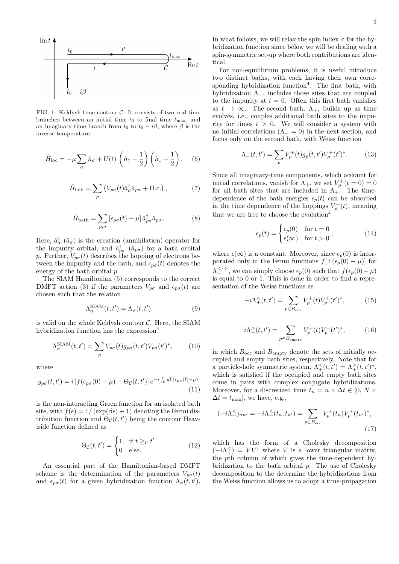

FIG. 1: Keldysh time-contour  $C$ . It consists of two real-time branches between an initial time  $t_0$  to final time  $t_{\text{max}}$ , and an imaginary-time branch from  $t_0$  to  $t_0 - i\beta$ , where  $\beta$  is the inverse temperature.

$$
\hat{H}_{\text{loc}} = -\mu \sum_{\sigma} \hat{n}_{\sigma} + U(t) \left( \hat{n}_{\uparrow} - \frac{1}{2} \right) \left( \hat{n}_{\downarrow} - \frac{1}{2} \right), \quad (6)
$$

$$
\hat{H}_{\rm hyb} = \sum_{p} \left( V_{p\sigma}(t) \hat{a}_{\sigma}^{\dagger} \hat{a}_{p\sigma} + \text{H.c.} \right), \tag{7}
$$

$$
\hat{H}_{\text{bath}} = \sum_{p,\sigma} \left[ \epsilon_{p\sigma}(t) - \mu \right] \hat{a}_{p\sigma}^{\dagger} \hat{a}_{p\sigma}, \tag{8}
$$

Here,  $\hat{a}^{\dagger}_{\sigma}$   $(\hat{a}_{\sigma})$  is the creation (annihilation) operator for the impurity orbital, and  $\hat{a}^{\dagger}_{p\sigma}$  ( $\hat{a}_{p\sigma}$ ) for a bath orbital p. Further,  $V_{p\sigma}(t)$  describes the hopping of electrons between the impurity and the bath, and  $\epsilon_{p\sigma}(t)$  denotes the energy of the bath orbital p.

The SIAM Hamiltonian (5) corresponds to the correct DMFT action (3) if the parameters  $V_{p\sigma}$  and  $\epsilon_{p\sigma}(t)$  are chosen such that the relation

$$
\Lambda_{\sigma}^{\text{SIAM}}(t, t') = \Lambda_{\sigma}(t, t') \tag{9}
$$

is valid on the whole Keldysh contour  $C$ . Here, the SIAM hybridization function has the expression $4$ 

$$
\Lambda_{\sigma}^{\text{SIAM}}(t, t') = \sum_{p} V_{p\sigma}(t) g_{p\sigma}(t, t') V_{p\sigma}(t')^*, \qquad (10)
$$

where

$$
g_{p\sigma}(t,t') = i \left[ f(\epsilon_{p\sigma}(0) - \mu) - \Theta_{\mathcal{C}}(t,t') \right] e^{-i \int_{\mathcal{C}} d\bar{t} \cdot (\epsilon_{p\sigma}(\bar{t}) - \mu)} \tag{11}
$$

is the non-interacting Green function for an isolated bath site, with  $f(\epsilon) = 1/(\exp(\beta \epsilon) + 1)$  denoting the Fermi distribution function and  $\Theta_{\mathcal{C}}(t, t')$  being the contour Heaviside function defined as

$$
\Theta_{\mathcal{C}}(t, t') = \begin{cases} 1 & \text{if } t \geq_{\mathcal{C}} t' \\ 0 & \text{else.} \end{cases}
$$
 (12)

An essential part of the Hamiltonian-based DMFT scheme is the determination of the parameters  $V_{p\sigma}(t)$ and  $\epsilon_{p\sigma}(t)$  for a given hybridization function  $\Lambda_{\sigma}(t, t')$ . In what follows, we will relax the spin index  $\sigma$  for the hybridization function since below we will be dealing with a spin-symmetric set-up where both contributions are identical.

For non-equilibrium problems, it is useful introduce two distinct baths, with each having their own corresponding hybridization function<sup>4</sup>. The first bath, with hybridization  $\Lambda_-,$  includes those sites that are coupled to the impurity at  $t = 0$ . Often this first bath vanishes as  $t \to \infty$ . The second bath,  $\Lambda_+$ , builds up as time evolves, i.e., couples additional bath sites to the impurity for times  $t > 0$ . We will consider a system with no initial correlations ( $\Lambda = 0$ ) in the next section, and focus only on the second bath, with Weiss function

$$
\Lambda_+(t,t') = \sum_p V_p^+(t)g_p(t,t')V_p^+(t')^*.
$$
 (13)

Since all imaginary-time components, which account for initial correlations, vanish for  $\Lambda_{+}$ , we set  $V_p^+(t=0) = 0$ for all bath sites that are included in  $\Lambda_{+}$ . The timedependence of the bath energies  $\epsilon_p(t)$  can be absorbed in the time dependence of the hoppings  $V_p^+(t)$ , meaning that we are free to choose the evolution<sup>4</sup>

$$
\epsilon_p(t) = \begin{cases} \epsilon_p(0) & \text{for } t = 0\\ \epsilon(\infty) & \text{for } t > 0 \end{cases},
$$
 (14)

where  $\epsilon(\infty)$  is a constant. Moreover, since  $\epsilon_n(0)$  is incorporated only in the Fermi functions  $f[\pm(\epsilon_p(0)-\mu)]$  for  $\Lambda^{}/_{+}$ , we can simply choose  $\epsilon_p(0)$  such that  $f(\epsilon_p(0) - \mu)$ is equal to 0 or 1. This is done in order to find a representation of the Weiss functions as

$$
-i\Lambda^{\leq}_+(t,t') = \sum_{p \in B_{\text{occ}}} V^+_p(t)V^+_p(t')^*, \tag{15}
$$

$$
i\Lambda^>_{+}(t,t') = \sum_{p \in B_{\text{empty}}} V^+_p(t)V^+_p(t')^*, \tag{16}
$$

in which  $B_{\rm occ}$  and  $B_{\rm empty}$  denote the sets of initially occupied and empty bath sites, respectively. Note that for a particle-hole symmetric system,  $\Lambda^{\leq}_+(t,t') = \Lambda^{\geq}_+(t,t')^*$ , which is satisfied if the occupied and empty bath sites come in pairs with complex conjugate hybridizations. Moreover, for a discretized time  $t_n = n \times \Delta t \in [0, N \times$  $\Delta t = t_{\text{max}}$ , we have, e.g.,

$$
(-i\Lambda^{\leq}_+)_{nn'} = -i\Lambda^{\leq}_+(t_n, t_{n'}) = \sum_{p \in B_{\text{occ}}} V_p^+(t_n) V_p^+(t_{n'})^*,
$$
\n(17)

which has the form of a Cholesky decomposition  $(-i\Lambda^{\leq}_{+}) = V V^{\dagger}$  where V is a lower triangular matrix, the pth column of which gives the time-dependent hybridization to the bath orbital  $p$ . The use of Cholesky decomposition to the determine the hybridizations from the Weiss function allows us to adopt a time-propagation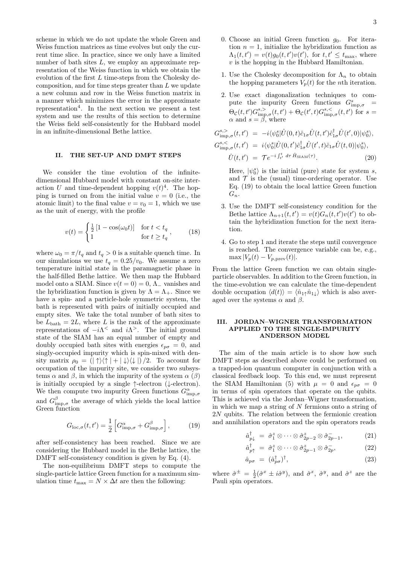scheme in which we do not update the whole Green and Weiss function matrices as time evolves but only the current time slice. In practice, since we only have a limited number of bath sites L, we employ an approximate representation of the Weiss function in which we obtain the evolution of the first  $L$  time-steps from the Cholesky decomposition, and for time steps greater than L we update a new column and row in the Weiss function matrix in a manner which minimizes the error in the approximate representation<sup>4</sup>. In the next section we present a test system and use the results of this section to determine the Weiss field self-consistently for the Hubbard model in an infinite-dimensional Bethe lattice.

#### II. THE SET-UP AND DMFT STEPS

We consider the time evolution of the infinitedimensional Hubbard model with constant on-site interaction U and time-dependent hopping  $v(t)^4$ . The hopping is turned on from the initial value  $v = 0$  (i.e., the atomic limit) to the final value  $v = v_0 = 1$ , which we use as the unit of energy, with the profile

$$
v(t) = \begin{cases} \frac{1}{2} \left[ 1 - \cos(\omega_0 t) \right] & \text{for } t < t_q \\ 1 & \text{for } t \ge t_q \end{cases},\tag{18}
$$

where  $\omega_0 = \pi/t_q$  and  $t_q > 0$  is a suitable quench time. In our simulations we use  $t_q = 0.25/v_0$ . We assume a zero temperature initial state in the paramagnetic phase in the half-filled Bethe lattice. We then map the Hubbard model onto a SIAM. Since  $v(t = 0) = 0$ ,  $\Lambda$  vanishes and the hybridization function is given by  $\Lambda = \Lambda_{+}$ . Since we have a spin- and a particle-hole symmetric system, the bath is represented with pairs of initially occupied and empty sites. We take the total number of bath sites to be  $L_{\text{bath}} = 2L$ , where L is the rank of the approximate representations of  $-i\Lambda^<$  and  $i\Lambda^>$ . The initial ground state of the SIAM has an equal number of empty and doubly occupied bath sites with energies  $\epsilon_{p\sigma} = 0$ , and singly-occupied impurity which is spin-mixed with density matrix  $\rho_0 = (|\uparrow\rangle\langle\uparrow| + |\downarrow\rangle\langle\downarrow|)/2$ . To account for occupation of the impurity site, we consider two subsystems  $\alpha$  and  $\beta$ , in which the impurity of the system  $\alpha$  ( $\beta$ ) is initially occupied by a single ↑-electron (↓-electron). We then compute two impurity Green functions  $G_{\text{imp},\sigma}^{\alpha}$ and  $G_{\text{imp},\sigma}^{\beta}$  the average of which yields the local lattice Green function

$$
G_{\text{loc},\sigma}(t,t') = \frac{1}{2} \left[ G_{\text{imp},\sigma}^{\alpha} + G_{\text{imp},\sigma}^{\beta} \right],\tag{19}
$$

after self-consistency has been reached. Since we are considering the Hubbard model in the Bethe lattice, the DMFT self-consistency condition is given by Eq. (4).

The non-equilibrium DMFT steps to compute the single-particle lattice Green function for a maximum simulation time  $t_{\text{max}} = N \times \Delta t$  are then the following:

- 1. Use the Cholesky decomposition for  $\Lambda_n$  to obtain the hopping parameters  $V_p(t)$  for the *n*th iteration.
- 2. Use exact diagonalization techniques to compute the impurity Green functions  $G_{\text{imp},\sigma}^s$  =  $\Theta_{\mathcal{C}}(t,t')G_{\text{imp},\sigma}^{s,>}(t,t') + \Theta_{\mathcal{C}}(t',t)G_{\text{imp},\sigma}^{s,<}(t,t')$  for  $s =$  $\alpha$  and  $s = \beta$ , where

$$
G_{\text{imp},\sigma}^{s,>}(t,t') = -i\langle \psi_0^s | \hat{U}(0,t)\hat{c}_{1\sigma} \hat{U}(t,t')\hat{c}_{1\sigma}^{\dagger} \hat{U}(t',0) | \psi_0^s \rangle,
$$
  
\n
$$
G_{\text{imp},\sigma}^{s,<}(t,t') = i\langle \psi_0^s | \hat{U}(0,t')\hat{c}_{1\sigma}^{\dagger} \hat{U}(t',t)\hat{c}_{1\sigma} \hat{U}(t,0) | \psi_0^s \rangle,
$$
  
\n
$$
\hat{U}(t,t') = \mathcal{T}e^{-i\int_{t'}^{t} d\tau \hat{H}_{\text{SIAM}}(\tau)}.
$$
\n(20)

Here,  $|\psi_0^s\rangle$  is the initial (pure) state for system s, and  $\mathcal T$  is the (usual) time-ordering operator. Use Eq. (19) to obtain the local lattice Green function  $G_n$ .

- 3. Use the DMFT self-consistency condition for the Bethe lattice  $\Lambda_{n+1}(t,t') = v(t)G_n(t,t')v(t')$  to obtain the hybridization function for the next iteration.
- 4. Go to step 1 and iterate the steps until convergence is reached. The convergence variable can be, e.g.,  $\max |V_p(t) - V_{p,\text{prev}}(t)|.$

From the lattice Green function we can obtain singleparticle observables. In addition to the Green function, in the time-evolution we can calculate the time-dependent double occupation  $\langle d(t)\rangle = \langle \hat{n}_{1\uparrow}\hat{n}_{1\downarrow}\rangle$  which is also averaged over the systems  $\alpha$  and  $\beta$ .

### III. JORDAN–WIGNER TRANSFORMATION APPLIED TO THE SINGLE-IMPURITY ANDERSON MODEL

The aim of the main article is to show how such DMFT steps as described above could be performed on a trapped-ion quantum computer in conjunction with a classical feedback loop. To this end, we must represent the SIAM Hamiltonian (5) with  $\mu = 0$  and  $\epsilon_{p\sigma} = 0$ in terms of spin operators that operate on the qubits. This is achieved via the Jordan–Wigner transformation, in which we map a string of  $N$  fermions onto a string of 2N qubits. The relation between the fermionic creation and annihilation operators and the spin operators reads

$$
\hat{a}_{p\downarrow}^{\dagger} = \hat{\sigma}_1^z \otimes \cdots \otimes \hat{\sigma}_{2p-2}^z \otimes \hat{\sigma}_{2p-1}^-, \tag{21}
$$

$$
\hat{a}_{p\uparrow}^{\dagger} = \hat{\sigma}_1^z \otimes \cdots \otimes \hat{\sigma}_{2p-1}^z \otimes \hat{\sigma}_{2p}^-, \tag{22}
$$

$$
\hat{a}_{p\sigma} = (\hat{a}_{p\sigma}^{\dagger})^{\dagger},\tag{23}
$$

where  $\hat{\sigma}^{\pm} = \frac{1}{2} (\hat{\sigma}^x \pm i \hat{\sigma}^y)$ , and  $\hat{\sigma}^x$ ,  $\hat{\sigma}^y$ , and  $\hat{\sigma}^z$  are the Pauli spin operators.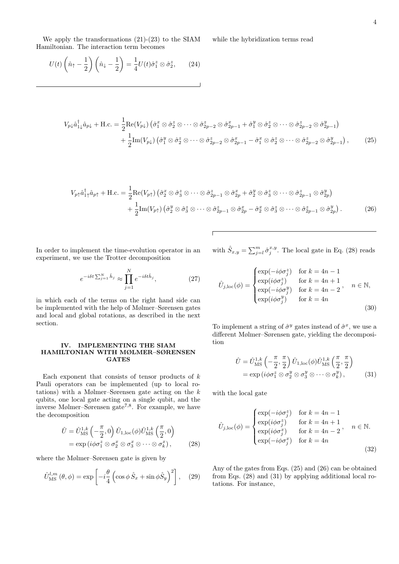We apply the transformations (21)-(23) to the SIAM Hamiltonian. The interaction term becomes

while the hybridization terms read

$$
U(t)\left(\hat{n}_{\uparrow} - \frac{1}{2}\right)\left(\hat{n}_{\downarrow} - \frac{1}{2}\right) = \frac{1}{4}U(t)\hat{\sigma}_{1}^{z} \otimes \hat{\sigma}_{2}^{z},\qquad(24)
$$

$$
V_{p\downarrow}\hat{a}_{1\downarrow}^{\dagger}\hat{a}_{p\downarrow} + \text{H.c.} = \frac{1}{2}\text{Re}(V_{p\downarrow})\left(\hat{\sigma}_1^x \otimes \hat{\sigma}_2^z \otimes \cdots \otimes \hat{\sigma}_{2p-2}^z \otimes \hat{\sigma}_{2p-1}^x + \hat{\sigma}_1^y \otimes \hat{\sigma}_2^z \otimes \cdots \otimes \hat{\sigma}_{2p-2}^z \otimes \hat{\sigma}_{2p-1}^y\right) + \frac{1}{2}\text{Im}(V_{p\downarrow})\left(\hat{\sigma}_1^y \otimes \hat{\sigma}_2^z \otimes \cdots \otimes \hat{\sigma}_{2p-2}^z \otimes \hat{\sigma}_{2p-1}^x - \hat{\sigma}_1^x \otimes \hat{\sigma}_2^z \otimes \cdots \otimes \hat{\sigma}_{2p-2}^z \otimes \hat{\sigma}_{2p-1}^y\right),
$$
(25)

$$
V_{p\uparrow}\hat{a}_{1\uparrow}^{\dagger}\hat{a}_{p\uparrow} + \text{H.c.} = \frac{1}{2}\text{Re}(V_{p\uparrow}) \left(\hat{\sigma}_2^x \otimes \hat{\sigma}_3^z \otimes \cdots \otimes \hat{\sigma}_{2p-1}^z \otimes \hat{\sigma}_{2p}^x + \hat{\sigma}_2^y \otimes \hat{\sigma}_3^z \otimes \cdots \otimes \hat{\sigma}_{2p-1}^z \otimes \hat{\sigma}_{2p}^y\right) + \frac{1}{2}\text{Im}(V_{p\uparrow}) \left(\hat{\sigma}_2^y \otimes \hat{\sigma}_3^z \otimes \cdots \otimes \hat{\sigma}_{2p-1}^z \otimes \hat{\sigma}_2^x - \hat{\sigma}_2^x \otimes \hat{\sigma}_3^z \otimes \cdots \otimes \hat{\sigma}_{2p-1}^z \otimes \hat{\sigma}_{2p}^y\right).
$$
(26)

In order to implement the time-evolution operator in an experiment, we use the Trotter decomposition

$$
e^{-i\delta t \sum_{j=1}^{N} \hat{h}_j} \approx \prod_{j=1}^{N} e^{-i\delta t \hat{h}_j}, \qquad (27)
$$

in which each of the terms on the right hand side can be implemented with the help of Mølmer–Sørensen gates and local and global rotations, as described in the next section.

## IV. IMPLEMENTING THE SIAM HAMILTONIAN WITH MØLMER–SØRENSEN **GATES**

Each exponent that consists of tensor products of  $k$ Pauli operators can be implemented (up to local rotations) with a Mølmer–Sørensen gate acting on the k qubits, one local gate acting on a single qubit, and the inverse Mølmer–Sørensen gate7,8. For example, we have the decomposition

$$
\hat{U} = \hat{U}_{\text{MS}}^{1,k} \left( -\frac{\pi}{2}, 0 \right) \hat{U}_{1,\text{loc}}(\phi) \hat{U}_{\text{MS}}^{1,k} \left( \frac{\pi}{2}, 0 \right)
$$
\n
$$
= \exp \left( i \phi \sigma_1^z \otimes \sigma_2^x \otimes \sigma_3^x \otimes \cdots \otimes \sigma_k^x \right), \tag{28}
$$

where the Mølmer–Sørensen gate is given by

$$
\hat{U}_{\text{MS}}^{l,m}(\theta,\phi) = \exp\left[-i\frac{\theta}{4}\left(\cos\phi \,\hat{S}_x + \sin\phi \hat{S}_y\right)^2\right],\tag{29}
$$

with  $\hat{S}_{x,y} = \sum_{j=l}^{m} \hat{\sigma}_j^{x,y}$ . The local gate in Eq. (28) reads

$$
\hat{U}_{j,\text{loc}}(\phi) = \begin{cases}\n\exp(-i\phi\sigma_j^z) & \text{for } k = 4n - 1 \\
\exp(i\phi\sigma_j^z) & \text{for } k = 4n + 1 \\
\exp(-i\phi\sigma_j^y) & \text{for } k = 4n - 2\n\end{cases}, \quad n \in \mathbb{N},
$$
\n
$$
\exp(i\phi\sigma_j^y) & \text{for } k = 4n
$$
\n(30)

To implement a string of  $\hat{\sigma}^y$  gates instead of  $\hat{\sigma}^x$ , we use a different Mølmer–Sørensen gate, yielding the decomposition

$$
\hat{U} = \hat{U}_{\text{MS}}^{1,k} \left( -\frac{\pi}{2}, \frac{\pi}{2} \right) \hat{U}_{1,\text{loc}}(\phi) \hat{U}_{\text{MS}}^{1,k} \left( \frac{\pi}{2}, \frac{\pi}{2} \right) \n= \exp\left(i\phi \sigma_1^z \otimes \sigma_2^y \otimes \sigma_3^y \otimes \cdots \otimes \sigma_k^y \right),
$$
\n(31)

with the local gate

$$
\hat{U}_{j,\text{loc}}(\phi) = \begin{cases}\n\exp(-i\phi\sigma_j^z) & \text{for } k = 4n - 1 \\
\exp(i\phi\sigma_j^z) & \text{for } k = 4n + 1 \\
\exp(i\phi\sigma_j^x) & \text{for } k = 4n - 2\n\end{cases}, \quad n \in \mathbb{N}.
$$
\n
$$
\exp(-i\phi\sigma_j^x) \quad \text{for } k = 4n
$$
\n(32)

Any of the gates from Eqs. (25) and (26) can be obtained from Eqs. (28) and (31) by applying additional local rotations. For instance,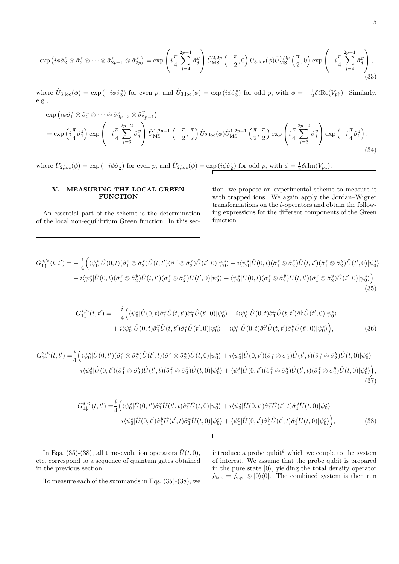$$
\exp\left(i\phi\hat{\sigma}_2^x \otimes \hat{\sigma}_3^z \otimes \cdots \otimes \hat{\sigma}_{2p-1}^z \otimes \hat{\sigma}_{2p}^x\right) = \exp\left(i\frac{\pi}{4}\sum_{j=4}^{2p-1} \hat{\sigma}_j^y\right)\hat{U}_{\text{MS}}^{2,2p}\left(-\frac{\pi}{2},0\right)\hat{U}_{3,\text{loc}}(\phi)\hat{U}_{\text{MS}}^{2,2p}\left(\frac{\pi}{2},0\right)\exp\left(-i\frac{\pi}{4}\sum_{j=4}^{2p-1} \hat{\sigma}_j^y\right),\tag{33}
$$

where  $\hat{U}_{3,\text{loc}}(\phi) = \exp(-i\phi \hat{\sigma}_3^z)$  for even p, and  $\hat{U}_{3,\text{loc}}(\phi) = \exp(i\phi \hat{\sigma}_3^z)$  for odd p, with  $\phi = -\frac{1}{2}\delta t \text{Re}(V_{p\uparrow})$ . Similarly, e.g.,

$$
\exp\left(i\phi\hat{\sigma}_{1}^{x}\otimes\hat{\sigma}_{2}^{z}\otimes\cdots\otimes\hat{\sigma}_{2p-2}^{z}\otimes\hat{\sigma}_{2p-1}^{y}\right) \n= \exp\left(i\frac{\pi}{4}\hat{\sigma}_{1}^{z}\right)\exp\left(-i\frac{\pi}{4}\sum_{j=3}^{2p-2}\hat{\sigma}_{j}^{y}\right)\hat{U}_{\text{MS}}^{1,2p-1}\left(-\frac{\pi}{2},\frac{\pi}{2}\right)\hat{U}_{2,\text{loc}}(\phi)\hat{U}_{\text{MS}}^{1,2p-1}\left(\frac{\pi}{2},\frac{\pi}{2}\right)\exp\left(i\frac{\pi}{4}\sum_{j=3}^{2p-2}\hat{\sigma}_{j}^{y}\right)\exp\left(-i\frac{\pi}{4}\hat{\sigma}_{1}^{z}\right),\tag{34}
$$

where  $\hat{U}_{2,\text{loc}}(\phi) = \exp(-i\phi \hat{\sigma}_2^z)$  for even p, and  $\hat{U}_{2,\text{loc}}(\phi) = \exp(i\phi \hat{\sigma}_2^z)$  for odd p, with  $\phi = \frac{1}{2}\delta t \text{Im}(V_{p\downarrow})$ .

#### V. MEASURING THE LOCAL GREEN **FUNCTION**

An essential part of the scheme is the determination of the local non-equilibrium Green function. In this section, we propose an experimental scheme to measure it with trapped ions. We again apply the Jordan–Wigner transformations on the  $\hat{c}$ -operators and obtain the following expressions for the different components of the Green function

$$
G_{1\uparrow}^{s,>} (t, t') = -\frac{i}{4} \Big( \langle \psi_0^s | \hat{U}(0, t) (\hat{\sigma}_1^z \otimes \hat{\sigma}_2^x) \hat{U}(t, t') (\hat{\sigma}_1^z \otimes \hat{\sigma}_2^x) \hat{U}(t', 0) | \psi_0^s \rangle - i \langle \psi_0^s | \hat{U}(0, t) (\hat{\sigma}_1^z \otimes \hat{\sigma}_2^x) \hat{U}(t, t') (\hat{\sigma}_1^z \otimes \hat{\sigma}_2^y) \hat{U}(t', 0) | \psi_0^s \rangle + i \langle \psi_0^s | \hat{U}(0, t) (\hat{\sigma}_1^z \otimes \hat{\sigma}_2^y) \hat{U}(t, t') (\hat{\sigma}_1^z \otimes \hat{\sigma}_2^x) \hat{U}(t', 0) | \psi_0^s \rangle + \langle \psi_0^s | \hat{U}(0, t) (\hat{\sigma}_1^z \otimes \hat{\sigma}_2^y) \hat{U}(t, t') (\hat{\sigma}_1^z \otimes \hat{\sigma}_2^y) \hat{U}(t', 0) | \psi_0^s \rangle \Big),
$$
\n(35)

$$
G_{1\downarrow}^{s,>} (t, t') = -\frac{i}{4} \Big( \langle \psi_0^s | \hat{U}(0, t) \hat{\sigma}_1^x \hat{U}(t, t') \hat{\sigma}_1^x \hat{U}(t', 0) | \psi_0^s \rangle - i \langle \psi_0^s | \hat{U}(0, t) \hat{\sigma}_1^x \hat{U}(t, t') \hat{\sigma}_1^y \hat{U}(t', 0) | \psi_0^s \rangle + i \langle \psi_0^s | \hat{U}(0, t) \hat{\sigma}_1^y \hat{U}(t, t') \hat{\sigma}_1^x \hat{U}(t', 0) | \psi_0^s \rangle + \langle \psi_0^s | \hat{U}(0, t) \hat{\sigma}_1^y \hat{U}(t, t') \hat{\sigma}_1^y \hat{U}(t', 0) | \psi_0^s \rangle \Big), \tag{36}
$$

$$
G_{1\uparrow}^{s,<}(t,t') = \frac{i}{4} \Big( \langle \psi_0^s | \hat{U}(0,t') (\hat{\sigma}_1^z \otimes \hat{\sigma}_2^x) \hat{U}(t',t) (\hat{\sigma}_1^z \otimes \hat{\sigma}_2^x) \hat{U}(t,0) | \psi_0^s \rangle + i \langle \psi_0^s | \hat{U}(0,t') (\hat{\sigma}_1^z \otimes \hat{\sigma}_2^x) \hat{U}(t',t) (\hat{\sigma}_1^z \otimes \hat{\sigma}_2^y) \hat{U}(t,0) | \psi_0^s \rangle - i \langle \psi_0^s | \hat{U}(0,t') (\hat{\sigma}_1^z \otimes \hat{\sigma}_2^y) \hat{U}(t',t) (\hat{\sigma}_1^z \otimes \hat{\sigma}_2^x) \hat{U}(t,0) | \psi_0^s \rangle + \langle \psi_0^s | \hat{U}(0,t') (\hat{\sigma}_1^z \otimes \hat{\sigma}_2^y) \hat{U}(t',t) (\hat{\sigma}_1^z \otimes \hat{\sigma}_2^y) \hat{U}(t,0) | \psi_0^s \rangle \Big),
$$
\n(37)

$$
G_{1\downarrow}^{s,<}(t,t') = \frac{i}{4} \Big( \langle \psi_0^s | \hat{U}(0,t') \hat{\sigma}_1^x \hat{U}(t',t) \hat{\sigma}_1^x \hat{U}(t,0) | \psi_0^s \rangle + i \langle \psi_0^s | \hat{U}(0,t') \hat{\sigma}_1^x \hat{U}(t',t) \hat{\sigma}_1^y \hat{U}(t,0) | \psi_0^s \rangle - i \langle \psi_0^s | \hat{U}(0,t') \hat{\sigma}_1^y \hat{U}(t',t) \hat{\sigma}_1^x \hat{U}(t,0) | \psi_0^s \rangle + \langle \psi_0^s | \hat{U}(0,t') \hat{\sigma}_1^y \hat{U}(t',t) \hat{\sigma}_1^y \hat{U}(t',0) | \psi_0^s \rangle \Big),
$$
(38)

In Eqs. (35)-(38), all time-evolution operators  $\hat{U}(t,0)$ , etc, correspond to a sequence of quantum gates obtained in the previous section.

introduce a probe qubit  $9$  which we couple to the system of interest. We assume that the probe qubit is prepared in the pure state  $|0\rangle$ , yielding the total density operator  $\hat{\rho}_{\text{tot}} = \hat{\rho}_{\text{sys}} \otimes |0\rangle\langle 0|.$  The combined system is then run

To measure each of the summands in Eqs. (35)-(38), we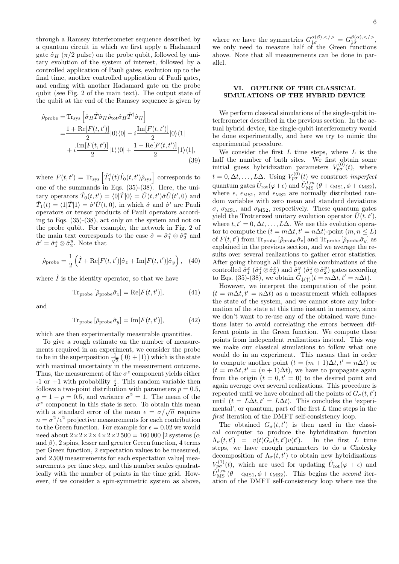through a Ramsey interferometer sequence described by a quantum circuit in which we first apply a Hadamard gate  $\hat{\sigma}_H$  ( $\pi/2$  pulse) on the probe qubit, followed by unitary evolution of the system of interest, followed by a controlled application of Pauli gates, evolution up to the final time, another controlled application of Pauli gates, and ending with another Hadamard gate on the probe qubit (see Fig. 2 of the main text). The output state of the qubit at the end of the Ramsey sequence is given by

$$
\hat{\rho}_{\text{probe}} = \text{Tr}_{\text{sys}} \left[ \hat{\sigma}_H \hat{T} \hat{\sigma}_H \hat{\rho}_{\text{tot}} \hat{\sigma}_H \hat{T}^\dagger \hat{\sigma}_H \right] \n= \frac{1 + \text{Re}[F(t, t')] }{2} |0\rangle\langle 0| - i \frac{\text{Im}[F(t, t')] }{2} |0\rangle\langle 1| \n+ i \frac{\text{Im}[F(t, t')] }{2} |1\rangle\langle 0| + \frac{1 - \text{Re}[F(t, t')] }{2} |1\rangle\langle 1|, \tag{39}
$$

where  $F(t,t') = \text{Tr}_{\text{sys}} \left[ \hat{T}_1^{\dagger}(t) \hat{T}_0(t,t') \hat{\rho}_{\text{sys}} \right]$  corresponds to one of the summands in Eqs.  $(35)-(38)$ . Here, the unitary operators  $\hat{T}_0(t,t') = \langle 0|\hat{T}|0\rangle = \hat{U}(t,t')\hat{\sigma}\hat{U}(t',0)$  and  $\hat{T}_1(t) = \langle 1|\hat{T}|1\rangle = \hat{\sigma}'\hat{U}(t,0)$ , in which  $\hat{\sigma}$  and  $\hat{\sigma}'$  are Pauli operators or tensor products of Pauli operators according to Eqs. (35)-(38), act only on the system and not on the probe qubit. For example, the network in Fig. 2 of the main text corresponds to the case  $\hat{\sigma} = \hat{\sigma}_1^z \otimes \hat{\sigma}_2^x$  and  $\hat{\sigma}' = \hat{\sigma}_1^z \otimes \hat{\sigma}_2^y$ . Note that

$$
\hat{\rho}_{\text{probe}} = \frac{1}{2} \left( \hat{I} + \text{Re}[F(t, t')] \hat{\sigma}_z + \text{Im}[F(t, t')] \hat{\sigma}_y \right), \quad (40)
$$

where  $\hat{I}$  is the identity operator, so that we have

$$
\text{Tr}_{\text{probe}}\left[\hat{\rho}_{\text{probe}}\hat{\sigma}_{z}\right] = \text{Re}[F(t, t')],\tag{41}
$$

and

$$
\text{Tr}_{\text{probe}}\left[\hat{\rho}_{\text{probe}}\hat{\sigma}_{y}\right] = \text{Im}[F(t, t')],\tag{42}
$$

which are then experimentally measurable quantities.

To give a rough estimate on the number of measurements required in an experiment, we consider the probe to be in the superposition  $\frac{1}{\sqrt{2}}$  $\overline{\overline{2}}\left( \left| 0 \right\rangle + \left| 1 \right\rangle \right)$  which is the state with maximal uncertainty in the measurement outcome. Thus, the measurement of the  $\sigma^z$  component yields either  $-1$  or  $+1$  with probability  $\frac{1}{2}$ . This random variable then follows a two-point distribution with parameters  $p = 0.5$ ,  $q = 1 - p = 0.5$ , and variance  $\sigma^2 = 1$ . The mean of the  $\sigma^z$  component in this state is zero. To obtain this mean  $\sigma^2$  component in this state is zero. To obtain this mean<br>with a standard error of the mean  $\epsilon = \sigma/\sqrt{n}$  requires  $n = \sigma^2/\epsilon^2$  projective measurements for each contribution to the Green function. For example for  $\epsilon = 0.02$  we would need about  $2 \times 2 \times 2 \times 4 \times 2 \times 2500 = 160000$  [2 systems ( $\alpha$ ) and  $\beta$ ), 2 spins, lesser and greater Green function, 4 terms per Green function, 2 expectation values to be measured, and 2 500 measurements for each expectation value] measurements per time step, and this number scales quadratically with the number of points in the time grid. However, if we consider a spin-symmetric system as above,

where we have the symmetries  $G_{1\sigma}^{\alpha(\beta),}=G_{1\bar{\sigma}}^{\beta(\alpha),},$ we only need to measure half of the Green functions above. Note that all measurements can be done in parallel.

# VI. OUTLINE OF THE CLASSICAL SIMULATIONS OF THE HYBRID DEVICE

We perform classical simulations of the single-qubit interferometer described in the previous section. In the actual hybrid device, the single-qubit interferometry would be done experimentally, and here we try to mimic the experimental procedure.

We consider the first  $L$  time steps, where  $L$  is the half the number of bath sites. We first obtain some initial guess hybridization parameters  $V_{p\sigma}^{(0)}(t)$ , where  $t = 0, \Delta t, \ldots, L\Delta$ . Using  $V_{p\sigma}^{(0)}(t)$  we construct *imperfect* quantum gates  $\hat{U}_{\text{rot}}(\varphi + \epsilon)$  and  $\hat{U}_{\text{MS}}^{l,m}$  ( $\theta + \epsilon_{\text{MS1}}, \phi + \epsilon_{\text{MS2}}$ ), where  $\epsilon$ ,  $\epsilon_{\text{MS1}}$ , and  $\epsilon_{\text{MS2}}$  are normally distributed random variables with zero mean and standard deviations  $\sigma$ ,  $\sigma$ <sub>MS1</sub>, and  $\sigma$ <sub>MS2</sub>, respectively. These quantum gates yield the Trotterized unitary evolution operator  $\hat{U}(t, t'),$ where  $t, t' = 0, \Delta t, \ldots, L\Delta$ . We use this evolution operator to compute the  $(t = m\Delta t, t' = n\Delta t)$ -point  $(m, n \leq L)$ of  $F(t, t')$  from  $\text{Tr}_{\text{probe}}(\hat{\rho}_{\text{probe}}\hat{\sigma}_z)$  and  $\text{Tr}_{\text{probe}}(\hat{\rho}_{\text{probe}}\hat{\sigma}_y)$  as explained in the previous section, and we average the results over several realizations to gather error statistics. After going through all the possible combinations of the controlled  $\hat{\sigma}_1^x$   $(\hat{\sigma}_1^z \otimes \hat{\sigma}_2^x)$  and  $\hat{\sigma}_1^y$   $(\hat{\sigma}_1^z \otimes \hat{\sigma}_2^y)$  gates according to Eqs. (35)-(38), we obtain  $\tilde{G}_{\downarrow(\uparrow)}(t = m\Delta t, t' = n\Delta t)$ .

However, we interpret the computation of the point  $(t = m\Delta t, t' = n\Delta t)$  as a measurement which collapses the state of the system, and we cannot store any information of the state at this time instant in memory, since we don't want to re-use any of the obtained wave functions later to avoid correlating the errors between different points in the Green function. We compute these points from independent realizations instead. This way we make our classical simulations to follow what one would do in an experiment. This means that in order to compute another point  $(t = (m + 1)\Delta t, t' = n\Delta t)$  or  $(t = m\Delta t, t' = (n + 1)\Delta t)$ , we have to propagate again from the origin  $(t = 0, t' = 0)$  to the desired point and again average over several realizations. This procedure is repeated until we have obtained all the points of  $G_{\sigma}(t, t')$ until  $(t = L\Delta t, t' = L\Delta t)$ . This concludes the 'experimental', or quantum, part of the first  $L$  time steps in the first iteration of the DMFT self-consistency loop.

The obtained  $G_{\sigma}(t,t')$  is then used in the classical computer to produce the hybridization function  $\Lambda_{\sigma}(t,t') = v(t) \overline{G}_{\sigma}(t,t') v(t')$ ). In the first L time steps, we have enough parameters to do a Cholesky decomposition of  $\Lambda_{\sigma}(t,t')$  to obtain new hybridizations  $V_{p\sigma}^{(1)}(t)$ , which are used for updating  $\hat{U}_{\text{rot}}(\varphi + \epsilon)$  and  $\hat{U}_{\text{MS}}^{l,m}$  ( $\theta + \epsilon_{\text{MS1}}, \phi + \epsilon_{\text{MS2}}$ ). This begins the second iteration of the DMFT self-consistency loop where use the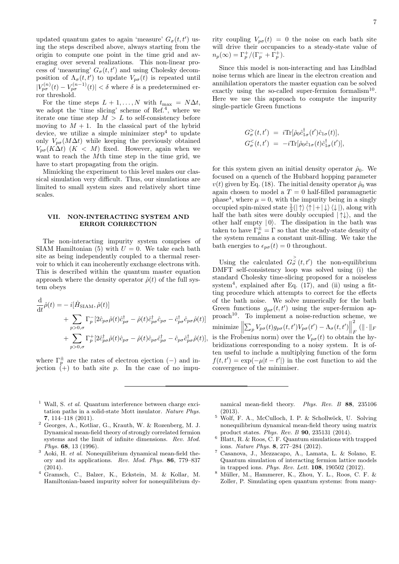updated quantum gates to again 'measure'  $G_{\sigma}(t, t')$  using the steps described above, always starting from the origin to compute one point in the time grid and averaging over several realizations. This non-linear process of 'measuring'  $G_{\sigma}(t, t')$  and using Cholesky decomposition of  $\Lambda_{\sigma}(t,t')$  to update  $V_{p\sigma}(t)$  is repeated until  $|V_{p\sigma}^{(n)}(t) - V_{p\sigma}^{(n-1)}(t)| < \delta$  where  $\delta$  is a predetermined error threshold.

For the time steps  $L + 1, ..., N$  with  $t_{\text{max}} = N\Delta t$ , we adopt the 'time slicing' scheme of Ref.<sup>4</sup>, where we iterate one time step  $M > L$  to self-consistency before moving to  $M + 1$ . In the classical part of the hybrid device, we utilize a simple minimizer step<sup>4</sup> to update only  $V_{p\sigma}(M\Delta t)$  while keeping the previously obtained  $V_{p\sigma}(K\Delta t)$  ( $K < M$ ) fixed. However, again when we want to reach the Mth time step in the time grid, we have to start propagating from the origin.

Mimicking the experiment to this level makes our classical simulation very difficult. Thus, our simulations are limited to small system sizes and relatively short time scales.

## VII. NON-INTERACTING SYSTEM AND ERROR CORRECTION

The non-interacting impurity system comprises of SIAM Hamiltonian (5) with  $U = 0$ . We take each bath site as being independently coupled to a thermal reservoir to which it can incoherently exchange electrons with. This is described within the quantum master equation approach where the density operator  $\hat{\rho}(t)$  of the full system obeys

$$
\frac{\mathrm{d}}{\mathrm{d}t}\hat{\rho}(t) = -i[\hat{H}_{\text{SIAM}}, \hat{\rho}(t)] \n+ \sum_{p>0,\sigma} \Gamma_p^{\top} [2\hat{c}_{p\sigma}\hat{\rho}(t)\hat{c}_{p\sigma}^{\dagger} - \hat{\rho}(t)\hat{c}_{p\sigma}^{\dagger}\hat{c}_{p\sigma} - \hat{c}_{p\sigma}^{\dagger}\hat{c}_{p\sigma}\hat{\rho}(t)] \n+ \sum_{p>0,\sigma} \Gamma_p^{\dagger} [2\hat{c}_{p\sigma}^{\dagger}\hat{\rho}(t)\hat{c}_{p\sigma} - \hat{\rho}(t)\hat{c}_{p\sigma}\hat{c}_{p\sigma}^{\dagger} - \hat{c}_{p\sigma}\hat{c}_{p\sigma}^{\dagger}\hat{\rho}(t)],
$$

where  $\Gamma_p^{\pm}$  are the rates of electron ejection (-) and injection  $\left(\begin{array}{cc} p \\ + \end{array}\right)$  to bath site p. In the case of no impurity coupling  $V_{p\sigma}(t) = 0$  the noise on each bath site will drive their occupancies to a steady-state value of  $n_p(\infty) = \Gamma_p^+ / (\Gamma_p^- + \Gamma_p^+).$ 

Since this model is non-interacting and has Lindblad noise terms which are linear in the electron creation and annihilation operators the master equation can be solved exactly using the so-called super-fermion formalism<sup>10</sup>. Here we use this approach to compute the impurity single-particle Green functions

$$
G_{\sigma}^{>}(t, t') = i \text{Tr}[\hat{\rho}_0 \hat{c}_{1\sigma}^{\dagger}(t') \hat{c}_{1\sigma}(t)],
$$
  
\n
$$
G_{\sigma}^{<}(t, t') = -i \text{Tr}[\hat{\rho}_0 \hat{c}_{1\sigma}(t) \hat{c}_{1\sigma}^{\dagger}(t')],
$$

for this system given an initial density operator  $\hat{\rho}_0$ . We focused on a quench of the Hubbard hopping parameter  $v(t)$  given by Eq. (18). The initial density operator  $\hat{\rho}_0$  was again chosen to model a  $T = 0$  half-filled paramagnetic phase<sup>4</sup>, where  $\mu = 0$ , with the impurity being in a singly occupied spin-mixed state  $\frac{1}{2}(|\uparrow\rangle\langle\uparrow|+|\downarrow\rangle\langle\downarrow|)$ , along with half the bath sites were doubly occupied  $|\uparrow\downarrow\rangle$ , and the other half empty  $|0\rangle$ . The dissipation in the bath was taken to have  $\Gamma_p^{\pm} = \Gamma$  so that the steady-state density of the system remains a constant unit-filling. We take the bath energies to  $\epsilon_{n\sigma}(t) = 0$  throughout.

Using the calculated  $G_{\sigma}^{\geq}(t,t')$  the non-equilibrium DMFT self-consistency loop was solved using (i) the standard Cholesky time-slicing proposed for a noiseless system<sup>4</sup>, explained after Eq.  $(17)$ , and  $(ii)$  using a fitting procedure which attempts to correct for the effects of the bath noise. We solve numerically for the bath Green functions  $g_{p\sigma}(t, t')$  using the super-fermion ap $proach<sup>10</sup>$ . To implement a noise-reduction scheme, we minimize  $\left\| \sum_{p} V_{p\sigma}(t) g_{p\sigma}(t, t') V_{p\sigma}(t') - \Lambda_{\sigma}(t, t') \right\|$ 2  $\frac{1}{F}$   $(\|\cdot\|_F)$ is the Frobenius norm) over the  $V_{p\sigma}(t)$  to obtain the hybridizations corresponding to a noisy system. It is often useful to include a multiplying function of the form  $f(t, t') = \exp(-\mu|t - t'|)$  in the cost function to aid the convergence of the minimiser.

- <sup>1</sup> Wall, S. *et al.* Quantum interference between charge excitation paths in a solid-state Mott insulator. Nature Phys. 7, 114–118 (2011).
- <sup>2</sup> Georges, A., Kotliar, G., Krauth, W. & Rozenberg, M. J. Dynamical mean-field theory of strongly correlated fermion systems and the limit of infinite dimensions. Rev. Mod. Phys. 68, 13 (1996).
- $3$  Aoki, H. et al. Nonequilibrium dynamical mean-field theory and its applications. Rev. Mod. Phys. 86, 779–837 (2014).
- <sup>4</sup> Gramsch, C., Balzer, K., Eckstein, M. & Kollar, M. Hamiltonian-based impurity solver for nonequilibrium dy-

namical mean-field theory. Phys. Rev. B 88, 235106 (2013).

- $5 \text{ Wolf}, F. A., \text{McCulloch}, I. P. & Schollwöck, U. Solving$ nonequilibrium dynamical mean-field theory using matrix product states. Phys. Rev. B 90, 235131 (2014).
- $6$  Blatt, R. & Roos, C. F. Quantum simulations with trapped ions. Nature Phys. 8, 277–284 (2012).
- <sup>7</sup> Casanova, J., Mezzacapo, A., Lamata, L. & Solano, E. Quantum simulation of interacting fermion lattice models in trapped ions. Phys. Rev. Lett. 108, 190502 (2012).
- <sup>8</sup> Müller, M., Hammerer, K., Zhou, Y. L., Roos, C. F. & Zoller, P. Simulating open quantum systems: from many-